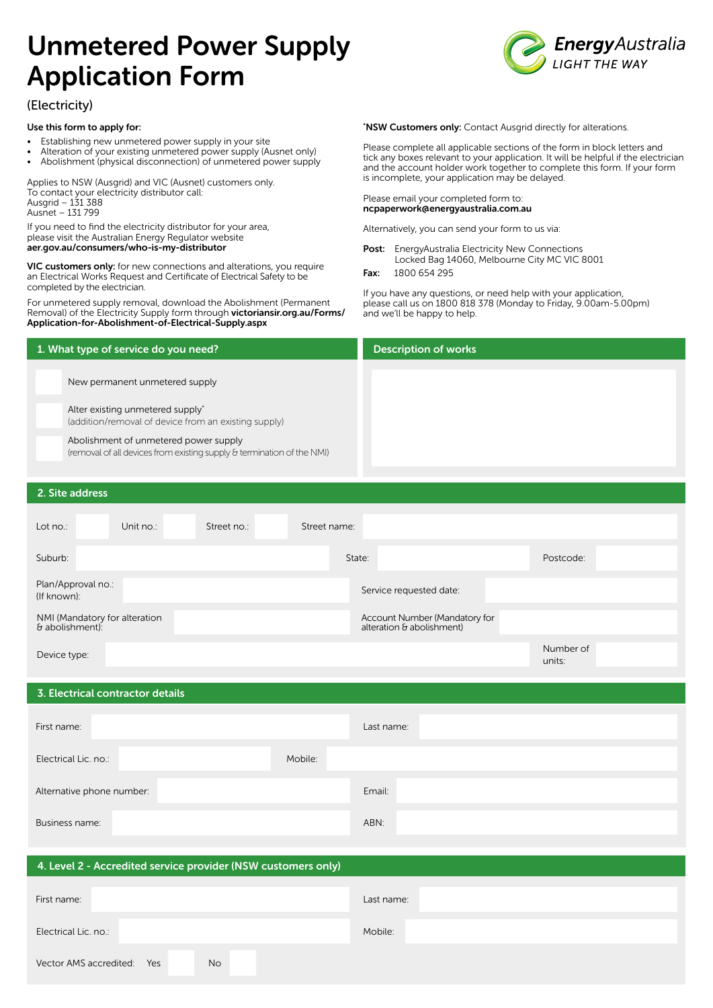# Unmetered Power Supply Application Form



# (Electricity)

#### Use this form to apply for:

- Establishing new unmetered power supply in your site
- Alteration of your existing unmetered power supply (Ausnet only)
- Abolishment (physical disconnection) of unmetered power supply

Applies to NSW (Ausgrid) and VIC (Ausnet) customers only. To contact your electricity distributor call: Ausgrid – 131 388 Ausnet – 131 799

If you need to find the electricity distributor for your area, please visit the Australian Energy Regulator website [aer.gov.au/consumers/who-is-my-distributor](http://aer.gov.au/consumers/who-is-my-distributor)

VIC customers only: for new connections and alterations, you require an Electrical Works Request and Certificate of Electrical Safety to be completed by the electrician.

For unmetered supply removal, download the Abolishment (Permanent Removal) of the Electricity Supply form through [victoriansir.org.au/Forms/](http://victoriansir.org.au/Forms/Application-for-Abolishment-of-Electrical-Supply.aspx) [Application-for-Abolishment-of-Electrical-Supply.aspx](http://victoriansir.org.au/Forms/Application-for-Abolishment-of-Electrical-Supply.aspx)

\*NSW Customers only: Contact Ausgrid directly for alterations.

Please complete all applicable sections of the form in block letters and tick any boxes relevant to your application. It will be helpful if the electrician and the account holder work together to complete this form. If your form is incomplete, your application may be delayed.

#### Please email your completed form to: [ncpaperwork@energyaustralia.com.au](mailto:ncpaperwork@energyaustralia.com.au)

Alternatively, you can send your form to us via:

- Post: EnergyAustralia Electricity New Connections Locked Bag 14060, Melbourne City MC VIC 8001
- Fax: 1800 654 295

If you have any questions, or need help with your application, please call us on 1800 818 378 (Monday to Friday, 9.00am-5.00pm) and we'll be happy to help.

| 1. What type of service do you need?                                                                            | <b>Description of works</b> |
|-----------------------------------------------------------------------------------------------------------------|-----------------------------|
| New permanent unmetered supply                                                                                  |                             |
| Alter existing unmetered supply*<br>(addition/removal of device from an existing supply)                        |                             |
| Abolishment of unmetered power supply<br>(removal of all devices from existing supply & termination of the NMI) |                             |
| 2. Site address                                                                                                 |                             |

| Lot no.:                                         | Unit no.: | Street no.: | Street name: |                                                            |                     |
|--------------------------------------------------|-----------|-------------|--------------|------------------------------------------------------------|---------------------|
| Suburb:                                          |           |             |              | State:                                                     | Postcode:           |
| Plan/Approval no.:<br>(If known):                |           |             |              | Service requested date:                                    |                     |
| NMI (Mandatory for alteration<br>& abolishment): |           |             |              | Account Number (Mandatory for<br>alteration & abolishment) |                     |
| Device type:                                     |           |             |              |                                                            | Number of<br>units: |

### 3. Electrical contractor details

| First name:               |         | Last name: |
|---------------------------|---------|------------|
| Electrical Lic. no.:      | Mobile: |            |
| Alternative phone number: |         | Email:     |
| Business name:            |         | ABN:       |

| 4. Level 2 - Accredited service provider (NSW customers only) |            |  |  |  |
|---------------------------------------------------------------|------------|--|--|--|
| First name:                                                   | Last name: |  |  |  |
| Electrical Lic. no.:                                          | Mobile:    |  |  |  |
| <b>No</b><br>Vector AMS accredited:<br>Yes                    |            |  |  |  |